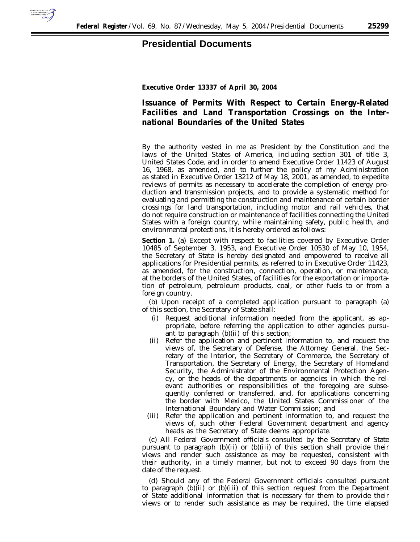

## **Presidential Documents**

**Executive Order 13337 of April 30, 2004**

## **Issuance of Permits With Respect to Certain Energy-Related Facilities and Land Transportation Crossings on the International Boundaries of the United States**

By the authority vested in me as President by the Constitution and the laws of the United States of America, including section 301 of title 3, United States Code, and in order to amend Executive Order 11423 of August 16, 1968, as amended, and to further the policy of my Administration as stated in Executive Order 13212 of May 18, 2001, as amended, to expedite reviews of permits as necessary to accelerate the completion of energy production and transmission projects, and to provide a systematic method for evaluating and permitting the construction and maintenance of certain border crossings for land transportation, including motor and rail vehicles, that do not require construction or maintenance of facilities connecting the United States with a foreign country, while maintaining safety, public health, and environmental protections, it is hereby ordered as follows:

**Section 1.** (a) Except with respect to facilities covered by Executive Order 10485 of September 3, 1953, and Executive Order 10530 of May 10, 1954, the Secretary of State is hereby designated and empowered to receive all applications for Presidential permits, as referred to in Executive Order 11423, as amended, for the construction, connection, operation, or maintenance, at the borders of the United States, of facilities for the exportation or importation of petroleum, petroleum products, coal, or other fuels to or from a foreign country.

(b) Upon receipt of a completed application pursuant to paragraph (a) of this section, the Secretary of State shall:

- (i) Request additional information needed from the applicant, as appropriate, before referring the application to other agencies pursuant to paragraph (b)(ii) of this section;
- (ii) Refer the application and pertinent information to, and request the views of, the Secretary of Defense, the Attorney General, the Secretary of the Interior, the Secretary of Commerce, the Secretary of Transportation, the Secretary of Energy, the Secretary of Homeland Security, the Administrator of the Environmental Protection Agency, or the heads of the departments or agencies in which the relevant authorities or responsibilities of the foregoing are subsequently conferred or transferred, and, for applications concerning the border with Mexico, the United States Commissioner of the International Boundary and Water Commission; and
- (iii) Refer the application and pertinent information to, and request the views of, such other Federal Government department and agency heads as the Secretary of State deems appropriate.

(c) All Federal Government officials consulted by the Secretary of State pursuant to paragraph  $(b)(ii)$  or  $(b)(iii)$  of this section shall provide their views and render such assistance as may be requested, consistent with their authority, in a timely manner, but not to exceed 90 days from the date of the request.

(d) Should any of the Federal Government officials consulted pursuant to paragraph  $(b)(ii)$  or  $(b)(iii)$  of this section request from the Department of State additional information that is necessary for them to provide their views or to render such assistance as may be required, the time elapsed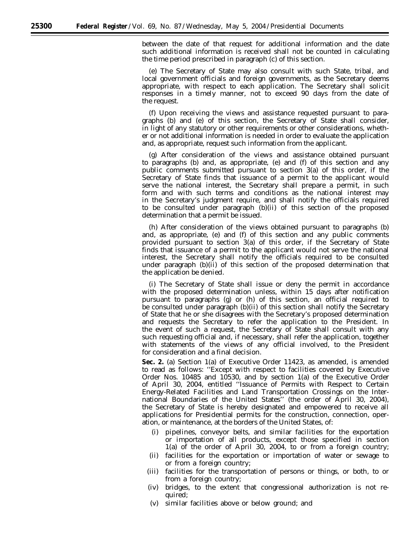between the date of that request for additional information and the date such additional information is received shall not be counted in calculating the time period prescribed in paragraph (c) of this section.

(e) The Secretary of State may also consult with such State, tribal, and local government officials and foreign governments, as the Secretary deems appropriate, with respect to each application. The Secretary shall solicit responses in a timely manner, not to exceed 90 days from the date of the request.

(f) Upon receiving the views and assistance requested pursuant to paragraphs (b) and (e) of this section, the Secretary of State shall consider, in light of any statutory or other requirements or other considerations, whether or not additional information is needed in order to evaluate the application and, as appropriate, request such information from the applicant.

(g) After consideration of the views and assistance obtained pursuant to paragraphs (b) and, as appropriate, (e) and (f) of this section and any public comments submitted pursuant to section 3(a) of this order, if the Secretary of State finds that issuance of a permit to the applicant would serve the national interest, the Secretary shall prepare a permit, in such form and with such terms and conditions as the national interest may in the Secretary's judgment require, and shall notify the officials required to be consulted under paragraph (b)(ii) of this section of the proposed determination that a permit be issued.

(h) After consideration of the views obtained pursuant to paragraphs (b) and, as appropriate, (e) and (f) of this section and any public comments provided pursuant to section 3(a) of this order, if the Secretary of State finds that issuance of a permit to the applicant would not serve the national interest, the Secretary shall notify the officials required to be consulted under paragraph (b)(ii) of this section of the proposed determination that the application be denied.

(i) The Secretary of State shall issue or deny the permit in accordance with the proposed determination unless, within 15 days after notification pursuant to paragraphs (g) or (h) of this section, an official required to be consulted under paragraph (b)(ii) of this section shall notify the Secretary of State that he or she disagrees with the Secretary's proposed determination and requests the Secretary to refer the application to the President. In the event of such a request, the Secretary of State shall consult with any such requesting official and, if necessary, shall refer the application, together with statements of the views of any official involved, to the President for consideration and a final decision.

**Sec. 2.** (a) Section 1(a) of Executive Order 11423, as amended, is amended to read as follows: ''Except with respect to facilities covered by Executive Order Nos. 10485 and 10530, and by section 1(a) of the Executive Order of April 30, 2004, entitled ''Issuance of Permits with Respect to Certain Energy-Related Facilities and Land Transportation Crossings on the International Boundaries of the United States'' (the order of April 30, 2004), the Secretary of State is hereby designated and empowered to receive all applications for Presidential permits for the construction, connection, operation, or maintenance, at the borders of the United States, of:

- (i) pipelines, conveyor belts, and similar facilities for the exportation or importation of all products, except those specified in section 1(a) of the order of April 30, 2004, to or from a foreign country;
- (ii) facilities for the exportation or importation of water or sewage to or from a foreign country;
- (iii) facilities for the transportation of persons or things, or both, to or from a foreign country;
- (iv) bridges, to the extent that congressional authorization is not required;
- (v) similar facilities above or below ground; and